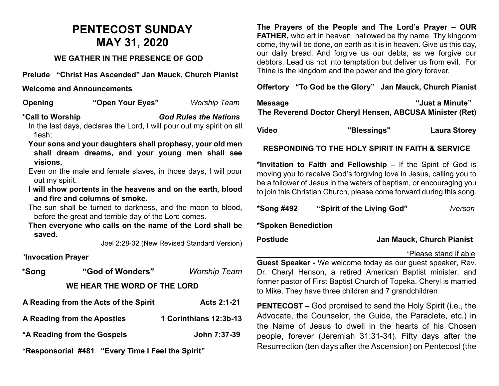## **PENTECOST SUNDAY MAY 31, 2020**

#### **WE GATHER IN THE PRESENCE OF GOD**

**Prelude "Christ Has Ascended" Jan Mauck, Church Pianist**

#### **Welcome and Announcements**

**Opening "Open Your Eyes"** *Worship Team*

### **\*Call to Worship** *God Rules the Nations*

In the last days, declares the Lord, I will pour out my spirit on all flesh;

- **Your sons and your daughters shall prophesy, your old men shall dream dreams, and your young men shall see visions.**
- Even on the male and female slaves, in those days, I will pour out my spirit.
- **I will show portents in the heavens and on the earth, blood and fire and columns of smoke.**

The sun shall be turned to darkness, and the moon to blood, before the great and terrible day of the Lord comes.

**Then everyone who calls on the name of the Lord shall be saved.**

Joel 2:28-32 (New Revised Standard Version)

#### *\****Invocation Prayer**

| *Song                        | "God of Wonders"                      | <b>Worship Team</b>    |  |  |  |
|------------------------------|---------------------------------------|------------------------|--|--|--|
| WE HEAR THE WORD OF THE LORD |                                       |                        |  |  |  |
|                              | A Reading from the Acts of the Spirit | Acts 2:1-21            |  |  |  |
|                              | A Reading from the Apostles           | 1 Corinthians 12:3b-13 |  |  |  |

**\*A Reading from the Gospels John 7:37-39**

**\*Responsorial #481 "Every Time I Feel the Spirit"** 

**The Prayers of the People and The Lord's Prayer – OUR FATHER,** who art in heaven, hallowed be thy name. Thy kingdom come, thy will be done, on earth as it is in heaven. Give us this day, our daily bread. And forgive us our debts, as we forgive our debtors. Lead us not into temptation but deliver us from evil. For Thine is the kingdom and the power and the glory forever.

#### **Offertory "To God be the Glory" Jan Mauck, Church Pianist**

| <b>Message</b> |                                                          | "Just a Minute"     |
|----------------|----------------------------------------------------------|---------------------|
|                | The Reverend Doctor Cheryl Hensen, ABCUSA Minister (Ret) |                     |
| <b>Video</b>   | "Blessings"                                              | <b>Laura Storey</b> |

#### **RESPONDING TO THE HOLY SPIRIT IN FAITH & SERVICE**

**\*Invitation to Faith and Fellowship –** If the Spirit of God is moving you to receive God's forgiving love in Jesus, calling you to be a follower of Jesus in the waters of baptism, or encouraging you to join this Christian Church, please come forward during this song.

| *Song #492          | "Spirit of the Living God" | <i><u><b>Iverson</b></u></i> |
|---------------------|----------------------------|------------------------------|
| *Snoken Benediction |                            |                              |

**\*Spoken Benediction** 

**Postlude Jan Mauck, Church Pianist**

\*Please stand if able

**Guest Speaker -** We welcome today as our guest speaker, Rev. Dr. Cheryl Henson, a retired American Baptist minister, and former pastor of First Baptist Church of Topeka. Cheryl is married to Mike. They have three children and 7 grandchildren

**PENTECOST –** God promised to send the Holy Spirit (i.e., the Advocate, the Counselor, the Guide, the Paraclete, etc.) in the Name of Jesus to dwell in the hearts of his Chosen people, forever (Jeremiah 31:31-34). Fifty days after the Resurrection (ten days after the Ascension) on Pentecost (the